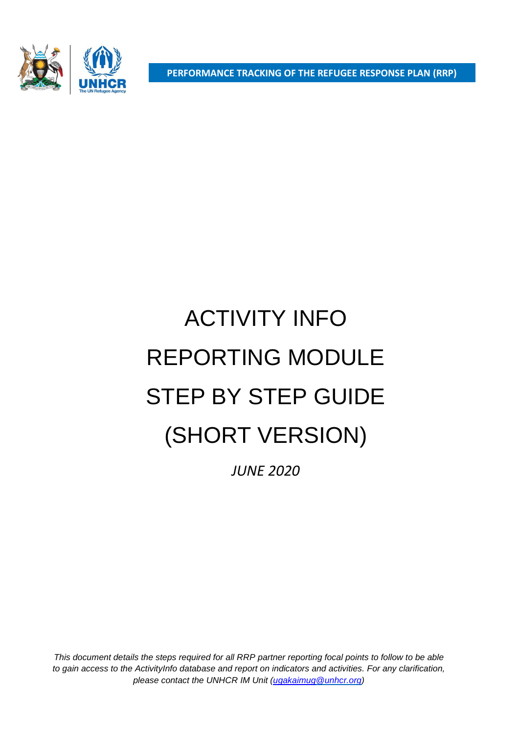**PERFORMANCE TRACKING OF THE REFUGEE RESPONSE PLAN (RRP)**

# ACTIVITY INFO REPORTING MODULE STEP BY STEP GUIDE (SHORT VERSION)

*JUNE 2020*

*This document details the steps required for all RRP partner reporting focal points to follow to be able to gain access to the ActivityInfo database and report on indicators and activities. For any clarification, please contact the UNHCR IM Unit [\(ugakaimug@unhcr.org\)](mailto:ugakaimug@unhcr.org)*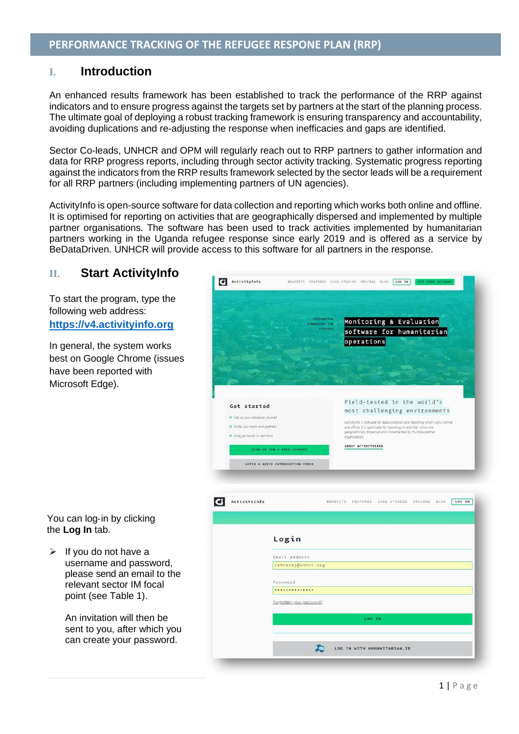# **I. Introduction**

An enhanced results framework has been established to track the performance of the RRP against indicators and to ensure progress against the targets set by partners at the start of the planning process. The ultimate goal of deploying a robust tracking framework is ensuring transparency and accountability, avoiding duplications and re-adjusting the response when inefficacies and gaps are identified.

Sector Co-leads, UNHCR and OPM will regularly reach out to RRP partners to gather information and data for RRP progress reports, including through sector activity tracking. Systematic progress reporting against the indicators from the RRP results framework selected by the sector leads will be a requirement for all RRP partners (including implementing partners of UN agencies).

ActivityInfo is open-source software for data collection and reporting which works both online and offline. It is optimised for reporting on activities that are geographically dispersed and implemented by multiple partner organisations. The software has been used to track activities implemented by humanitarian partners working in the Uganda refugee response since early 2019 and is offered as a service by BeDataDriven. UNHCR will provide access to this software for all partners in the response.

# **II. Start ActivityInfo**

To start the program, type the following web address: **https://v4.activityinfo.org**

In general, the system works best on Google Chrome (issues have been reported with Microsoft Edge).



#### You can log-in by clicking the **Log In** tab.

 $\triangleright$  If you do not have a username and password, please send an email to the relevant sector IM focal point (see Table 1).

> An invitation will then be sent to you, after which you can create your password.

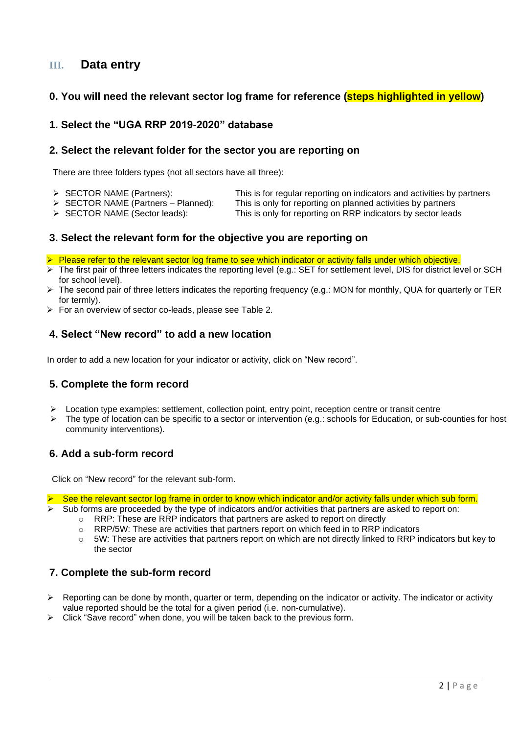# **III. Data entry**

# **0. You will need the relevant sector log frame for reference (steps highlighted in yellow)**

# **1. Select the "UGA RRP 2019-2020" database**

#### **2. Select the relevant folder for the sector you are reporting on**

There are three folders types (not all sectors have all three):

- ➢ SECTOR NAME (Partners): This is for regular reporting on indicators and activities by partners
- - $\triangleright$  SECTOR NAME (Partners Planned): This is only for reporting on planned activities by partners  $\triangleright$  SECTOR NAME (Sector leads): This is only for reporting on RRP indicators by sector lead This is only for reporting on RRP indicators by sector leads
	-

# **3. Select the relevant form for the objective you are reporting on**

- ➢ Please refer to the relevant sector log frame to see which indicator or activity falls under which objective.
- ➢ The first pair of three letters indicates the reporting level (e.g.: SET for settlement level, DIS for district level or SCH for school level).
- ➢ The second pair of three letters indicates the reporting frequency (e.g.: MON for monthly, QUA for quarterly or TER for termly).
- ➢ For an overview of sector co-leads, please see Table 2.

#### **4. Select "New record" to add a new location**

In order to add a new location for your indicator or activity, click on "New record".

# **5. Complete the form record**

- $\triangleright$  Location type examples: settlement, collection point, entry point, reception centre or transit centre
- $\triangleright$  The type of location can be specific to a sector or intervention (e.g.: schools for Education, or sub-counties for host community interventions).

# **6. Add a sub-form record**

Click on "New record" for the relevant sub-form.

➢ See the relevant sector log frame in order to know which indicator and/or activity falls under which sub form.

- Sub forms are proceeded by the type of indicators and/or activities that partners are asked to report on:
	- $\circ$  RRP: These are RRP indicators that partners are asked to report on directly
	- $\circ$  RRP/5W: These are activities that partners report on which feed in to RRP indicators
	- o 5W: These are activities that partners report on which are not directly linked to RRP indicators but key to the sector

# **7. Complete the sub-form record**

- $\triangleright$  Reporting can be done by month, quarter or term, depending on the indicator or activity. The indicator or activity value reported should be the total for a given period (i.e. non-cumulative).
- ➢ Click "Save record" when done, you will be taken back to the previous form.